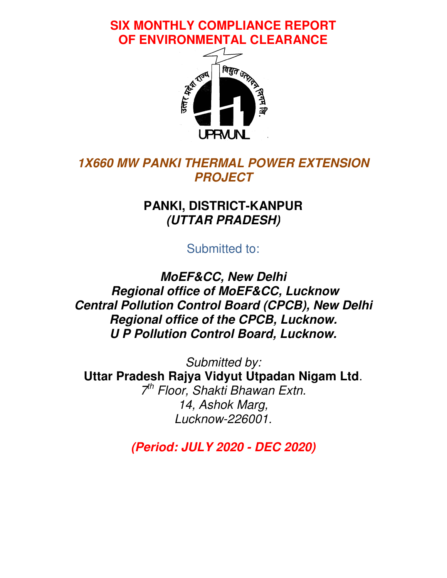**SIX MONTHLY COMPLIANCE REPORT REPORT OF ENVIRONMENTAL CLEARANCE CLEARANCE**



## *1X660 MW PANKI THERMAL POWER EXTENSION PROJECT*

## **PANKI, DISTRICT DISTRICT-KANPUR**  *(UTTAR PRADESH)*

Submitted to:

*MoEF&CC, New Delhi Regional office of MoEF&CC, Lucknow Central Pollution Control Board (CPCB), New Delhi Delhi Regional office of the CPCB, Lucknow. U P Pollution Control Board, Lucknow. 1X660 MW PANKI THERMA<br>PROJE<br>PANKI, DISTRIC<br>(UTTAR PRA<br>Submitted Molentral Pollution Control Bc<br>Pegional office of Molentral Pollution Control Bc* 

**Uttar Pradesh Rajya Vidyut Utpadan Nigam Ltd Rajya Nigam** .  $7<sup>th</sup>$  *Floor, Shakti Bhawan Extn. Lucknow Lucknow-226001. Submitted by: 14, Ashok Marg,* 

*(Period: J JULY 2020 - DEC 2020)*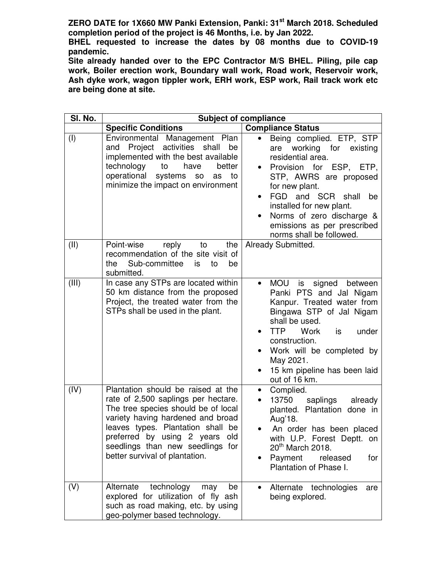**ZERO DATE for 1X660 MW Panki Extension, Panki: 31st March 2018. Scheduled completion period of the project is 46 Months, i.e. by Jan 2022.** 

**BHEL requested to increase the dates by 08 months due to COVID-19 pandemic.** 

**Site already handed over to the EPC Contractor M/S BHEL. Piling, pile cap work, Boiler erection work, Boundary wall work, Road work, Reservoir work, Ash dyke work, wagon tippler work, ERH work, ESP work, Rail track work etc are being done at site.** 

| SI. No. | <b>Subject of compliance</b>                                                                                                                                                                                                                                                                       |                                                                                                                                                                                                                                                                                                                 |
|---------|----------------------------------------------------------------------------------------------------------------------------------------------------------------------------------------------------------------------------------------------------------------------------------------------------|-----------------------------------------------------------------------------------------------------------------------------------------------------------------------------------------------------------------------------------------------------------------------------------------------------------------|
|         | <b>Specific Conditions</b>                                                                                                                                                                                                                                                                         | <b>Compliance Status</b>                                                                                                                                                                                                                                                                                        |
| (I)     | Environmental Management Plan<br>and Project activities shall<br>be<br>implemented with the best available<br>technology<br>to<br>have<br>better<br>operational systems<br>to<br><b>SO</b><br>as<br>minimize the impact on environment                                                             | Being complied. ETP, STP<br>$\bullet$<br>working for existing<br>are<br>residential area.<br>Provision for ESP, ETP,<br>STP, AWRS are proposed<br>for new plant.<br>FGD and SCR shall<br>be<br>installed for new plant.<br>Norms of zero discharge &<br>emissions as per prescribed<br>norms shall be followed. |
| (II)    | the<br>Point-wise<br>reply<br>to<br>recommendation of the site visit of<br>Sub-committee<br>the<br>is<br>to<br>be<br>submitted.                                                                                                                                                                    | Already Submitted.                                                                                                                                                                                                                                                                                              |
| (III)   | In case any STPs are located within<br>50 km distance from the proposed<br>Project, the treated water from the<br>STPs shall be used in the plant.                                                                                                                                                 | $\bullet$<br><b>MOU</b><br>is<br>signed between<br>Panki PTS and Jal Nigam<br>Kanpur. Treated water from<br>Bingawa STP of Jal Nigam<br>shall be used.<br><b>TTP</b><br>Work<br>is<br>under<br>construction.<br>Work will be completed by<br>May 2021.<br>15 km pipeline has been laid<br>out of 16 km.         |
| (IV)    | Plantation should be raised at the<br>rate of 2,500 saplings per hectare.<br>The tree species should be of local<br>variety having hardened and broad<br>leaves types. Plantation shall be<br>preferred by using 2 years old<br>seedlings than new seedlings for<br>better survival of plantation. | Complied.<br>$\bullet$<br>13750<br>saplings<br>already<br>planted. Plantation done in<br>Aug'18.<br>An order has been placed<br>with U.P. Forest Deptt. on<br>20 <sup>th</sup> March 2018.<br>Payment<br>released<br>for<br>Plantation of Phase I.                                                              |
| (V)     | Alternate<br>technology<br>be<br>may<br>explored for utilization of fly ash<br>such as road making, etc. by using<br>geo-polymer based technology.                                                                                                                                                 | Alternate<br>technologies<br>are<br>being explored.                                                                                                                                                                                                                                                             |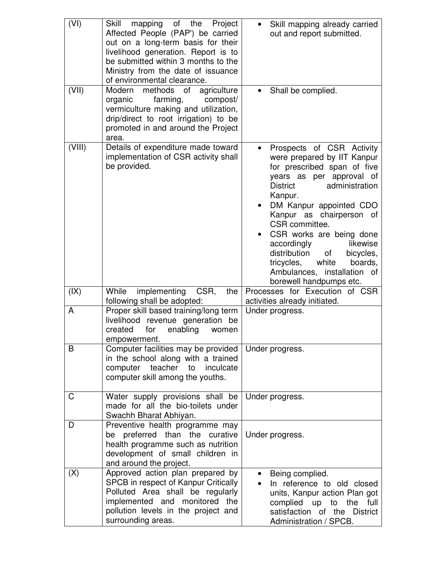| (VI)   | mapping of the<br>Skill<br>Project<br>Affected People (PAP') be carried<br>out on a long-term basis for their<br>livelihood generation. Report is to<br>be submitted within 3 months to the<br>Ministry from the date of issuance<br>of environmental clearance. | Skill mapping already carried<br>out and report submitted.                                                                                                                                                                                                                                                                                                                                                                         |
|--------|------------------------------------------------------------------------------------------------------------------------------------------------------------------------------------------------------------------------------------------------------------------|------------------------------------------------------------------------------------------------------------------------------------------------------------------------------------------------------------------------------------------------------------------------------------------------------------------------------------------------------------------------------------------------------------------------------------|
| (VII)  | Modern<br>methods<br>of<br>agriculture<br>farming,<br>organic<br>compost/<br>vermiculture making and utilization,<br>drip/direct to root irrigation) to be<br>promoted in and around the Project<br>area.                                                        | Shall be complied.<br>$\bullet$                                                                                                                                                                                                                                                                                                                                                                                                    |
| (VIII) | Details of expenditure made toward<br>implementation of CSR activity shall<br>be provided.                                                                                                                                                                       | Prospects of CSR Activity<br>were prepared by IIT Kanpur<br>for prescribed span of five<br>years as per approval of<br>administration<br><b>District</b><br>Kanpur.<br>DM Kanpur appointed CDO<br>Kanpur as chairperson of<br>CSR committee.<br>CSR works are being done<br>accordingly<br>likewise<br>distribution<br>bicycles,<br>of<br>white<br>tricycles,<br>boards,<br>Ambulances, installation of<br>borewell handpumps etc. |
| (IX)   | While<br>CSR,<br>implementing<br>the<br>following shall be adopted:                                                                                                                                                                                              | Processes for Execution of CSR<br>activities already initiated.                                                                                                                                                                                                                                                                                                                                                                    |
| A      | Proper skill based training/long term<br>livelihood revenue generation be<br>created<br>for<br>enabling<br>women<br>empowerment.                                                                                                                                 | Under progress.                                                                                                                                                                                                                                                                                                                                                                                                                    |
| B      | Computer facilities may be provided<br>in the school along with a trained<br>computer teacher<br>inculcate<br>to<br>computer skill among the youths.                                                                                                             | Under progress.                                                                                                                                                                                                                                                                                                                                                                                                                    |
| С      | Water supply provisions shall be<br>made for all the bio-toilets under<br>Swachh Bharat Abhiyan.                                                                                                                                                                 | Under progress.                                                                                                                                                                                                                                                                                                                                                                                                                    |
| D      | Preventive health programme may<br>be preferred than the curative<br>health programme such as nutrition<br>development of small children in<br>and around the project.                                                                                           | Under progress.                                                                                                                                                                                                                                                                                                                                                                                                                    |
| (X)    | Approved action plan prepared by<br>SPCB in respect of Kanpur Critically<br>Polluted Area shall be regularly<br>implemented and monitored the<br>pollution levels in the project and<br>surrounding areas.                                                       | Being complied.<br>In reference to old closed<br>units, Kanpur action Plan got<br>complied up to<br>the<br>full<br>satisfaction of the District<br>Administration / SPCB.                                                                                                                                                                                                                                                          |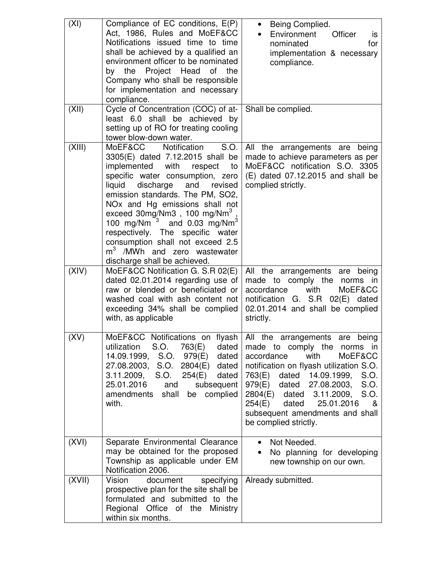| (XI)   | Compliance of EC conditions, E(P)<br>Act, 1986, Rules and MoEF&CC<br>Notifications issued time to time<br>shall be achieved by a qualified an<br>environment officer to be nominated<br>Project Head of<br>by the<br>the<br>Company who shall be responsible<br>for implementation and necessary<br>compliance.                                                                                                                                                                                             | Being Complied.<br>$\bullet$<br>Environment<br>Officer<br>is.<br>nominated<br>for<br>implementation & necessary<br>compliance.                                                                                                                                                                                                                                                                                        |
|--------|-------------------------------------------------------------------------------------------------------------------------------------------------------------------------------------------------------------------------------------------------------------------------------------------------------------------------------------------------------------------------------------------------------------------------------------------------------------------------------------------------------------|-----------------------------------------------------------------------------------------------------------------------------------------------------------------------------------------------------------------------------------------------------------------------------------------------------------------------------------------------------------------------------------------------------------------------|
| (XII)  | Cycle of Concentration (COC) of at-<br>least 6.0 shall be achieved by<br>setting up of RO for treating cooling<br>tower blow-down water.                                                                                                                                                                                                                                                                                                                                                                    | Shall be complied.                                                                                                                                                                                                                                                                                                                                                                                                    |
| (XIII) | MoEF&CC<br>Notification<br>S.O.<br>3305(E) dated 7.12.2015 shall be<br>implemented with<br>respect<br>to<br>specific water consumption, zero<br>liquid<br>discharge<br>and<br>revised<br>emission standards. The PM, SO2,<br>NO <sub>x</sub> and Hg emissions shall not<br>exceed 30mg/Nm3, 100 mg/Nm <sup>3</sup> ,<br>100 mg/Nm $3$ and 0.03 mg/Nm $3$<br>respectively. The specific water<br>consumption shall not exceed 2.5<br>m <sup>3</sup> /MWh and zero wastewater<br>discharge shall be achieved. | All the arrangements are being<br>made to achieve parameters as per<br>MoEF&CC notification S.O. 3305<br>$(E)$ dated 07.12.2015 and shall be<br>complied strictly.                                                                                                                                                                                                                                                    |
| (XIV)  | MoEF&CC Notification G. S.R 02(E)<br>dated 02.01.2014 regarding use of<br>raw or blended or beneficiated or<br>washed coal with ash content not<br>exceeding 34% shall be complied<br>with, as applicable                                                                                                                                                                                                                                                                                                   | All the arrangements are being<br>made to comply the norms in<br>with<br>accordance<br>MoEF&CC<br>notification G. S.R 02(E) dated<br>02.01.2014 and shall be complied<br>strictly.                                                                                                                                                                                                                                    |
| (XV)   | utilization S.O.<br>14.09.1999,<br>S.O. 979(E)<br>dated<br>27.08.2003, S.O. 2804(E)<br>dated<br>3.11.2009,<br>S.O.<br>dated<br>254(E)<br>25.01.2016<br>subsequent<br>and<br>amendments shall<br>be complied<br>with.                                                                                                                                                                                                                                                                                        | MoEF&CC Notifications on flyash   All the arrangements are being<br>763(E) dated   made to comply the norms in<br>accordance<br>with<br>MoEF&CC<br>notification on flyash utilization S.O.<br>763(E)<br>dated 14.09.1999,<br>S.O.<br>979(E) dated<br>27.08.2003,<br>S.O.<br>$2804(E)$ dated<br>3.11.2009,<br>S.O.<br>dated<br>25.01.2016<br>254(E)<br>- &<br>subsequent amendments and shall<br>be complied strictly. |
| (XVI)  | Separate Environmental Clearance<br>may be obtained for the proposed<br>Township as applicable under EM<br>Notification 2006.                                                                                                                                                                                                                                                                                                                                                                               | Not Needed.<br>$\bullet$<br>No planning for developing<br>new township on our own.                                                                                                                                                                                                                                                                                                                                    |
| (XVII) | Vision<br>document<br>specifying<br>prospective plan for the site shall be<br>formulated and submitted to the<br>Regional Office of the<br>Ministry<br>within six months.                                                                                                                                                                                                                                                                                                                                   | Already submitted.                                                                                                                                                                                                                                                                                                                                                                                                    |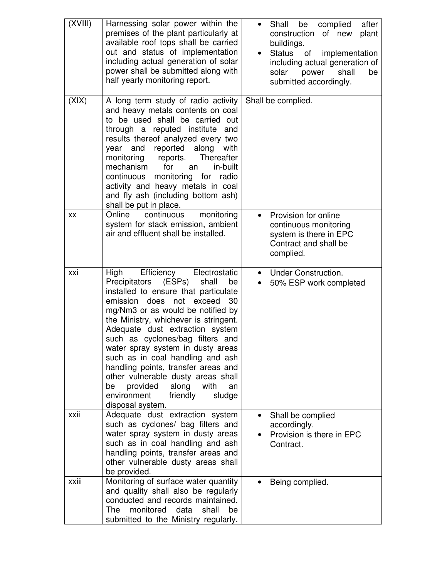| (XVIII)   | Harnessing solar power within the<br>premises of the plant particularly at<br>available roof tops shall be carried<br>out and status of implementation<br>including actual generation of solar<br>power shall be submitted along with<br>half yearly monitoring report.                                                                                                                                                                                                                                                                                              | complied<br>Shall<br>be<br>after<br>$\bullet$<br>construction of new<br>plant<br>buildings.<br><b>Status</b><br>implementation<br>of<br>including actual generation of<br>solar<br>shall<br>power<br>be<br>submitted accordingly. |
|-----------|----------------------------------------------------------------------------------------------------------------------------------------------------------------------------------------------------------------------------------------------------------------------------------------------------------------------------------------------------------------------------------------------------------------------------------------------------------------------------------------------------------------------------------------------------------------------|-----------------------------------------------------------------------------------------------------------------------------------------------------------------------------------------------------------------------------------|
| (XIX)     | A long term study of radio activity<br>and heavy metals contents on coal<br>to be used shall be carried out<br>through a reputed institute<br>and<br>results thereof analyzed every two<br>year and reported<br>along with<br>monitoring<br>reports.<br>Thereafter<br>for<br>in-built<br>mechanism<br>an<br>continuous monitoring for<br>radio<br>activity and heavy metals in coal<br>and fly ash (including bottom ash)<br>shall be put in place.                                                                                                                  | Shall be complied.                                                                                                                                                                                                                |
| <b>XX</b> | continuous<br>Online<br>monitoring<br>system for stack emission, ambient<br>air and effluent shall be installed.                                                                                                                                                                                                                                                                                                                                                                                                                                                     | Provision for online<br>continuous monitoring<br>system is there in EPC<br>Contract and shall be<br>complied.                                                                                                                     |
| xxi       | High<br>Efficiency<br>Electrostatic<br>Precipitators<br>(ESPs)<br>shall<br>be<br>installed to ensure that particulate<br>emission does not exceed<br>30<br>mg/Nm3 or as would be notified by<br>the Ministry, whichever is stringent.<br>Adequate dust extraction system<br>such as cyclones/bag filters and<br>water spray system in dusty areas<br>such as in coal handling and ash<br>handling points, transfer areas and<br>other vulnerable dusty areas shall<br>provided<br>along<br>with<br>be<br>an<br>environment<br>friendly<br>sludge<br>disposal system. | <b>Under Construction.</b><br>$\bullet$<br>50% ESP work completed                                                                                                                                                                 |
| xxii      | Adequate dust extraction system<br>such as cyclones/ bag filters and<br>water spray system in dusty areas<br>such as in coal handling and ash<br>handling points, transfer areas and<br>other vulnerable dusty areas shall<br>be provided.                                                                                                                                                                                                                                                                                                                           | Shall be complied<br>accordingly.<br>Provision is there in EPC<br>Contract.                                                                                                                                                       |
| xxiii     | Monitoring of surface water quantity<br>and quality shall also be regularly<br>conducted and records maintained.<br>monitored<br>data<br>shall<br>The<br>be<br>submitted to the Ministry regularly.                                                                                                                                                                                                                                                                                                                                                                  | Being complied.                                                                                                                                                                                                                   |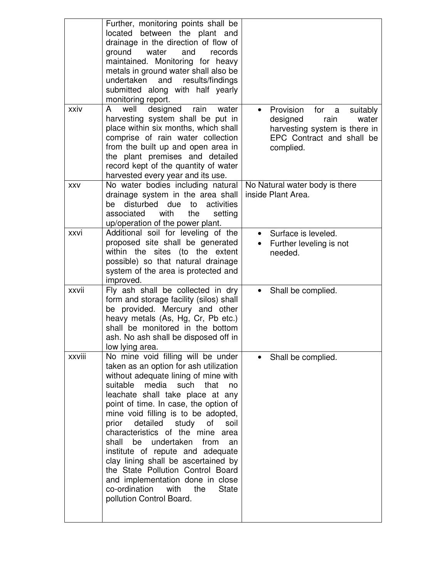|            | Further, monitoring points shall be<br>located between the plant and<br>drainage in the direction of flow of<br>ground<br>water<br>and<br>records<br>maintained. Monitoring for heavy<br>metals in ground water shall also be<br>undertaken<br>results/findings<br>and<br>submitted along with half yearly<br>monitoring report.                                                                                                                                                                                                                                                                                                            |                                                                                                                                                        |
|------------|---------------------------------------------------------------------------------------------------------------------------------------------------------------------------------------------------------------------------------------------------------------------------------------------------------------------------------------------------------------------------------------------------------------------------------------------------------------------------------------------------------------------------------------------------------------------------------------------------------------------------------------------|--------------------------------------------------------------------------------------------------------------------------------------------------------|
| xxiv       | designed<br>well<br>rain<br>water<br>A<br>harvesting system shall be put in<br>place within six months, which shall<br>comprise of rain water collection<br>from the built up and open area in<br>the plant premises and detailed<br>record kept of the quantity of water<br>harvested every year and its use.                                                                                                                                                                                                                                                                                                                              | Provision<br>for<br>suitably<br>$\bullet$<br>a<br>designed<br>rain<br>water<br>harvesting system is there in<br>EPC Contract and shall be<br>complied. |
| <b>XXV</b> | No water bodies including natural<br>drainage system in the area shall<br>activities<br>disturbed<br>due<br>be<br>to<br>associated<br>with<br>the<br>setting<br>up/operation of the power plant.                                                                                                                                                                                                                                                                                                                                                                                                                                            | No Natural water body is there<br>inside Plant Area.                                                                                                   |
| xxvi       | Additional soil for leveling of the<br>proposed site shall be generated<br>within the sites (to the extent<br>possible) so that natural drainage<br>system of the area is protected and<br>improved.                                                                                                                                                                                                                                                                                                                                                                                                                                        | Surface is leveled.<br>$\bullet$<br>Further leveling is not<br>needed.                                                                                 |
| xxvii      | Fly ash shall be collected in dry<br>form and storage facility (silos) shall<br>be provided. Mercury and other<br>heavy metals (As, Hg, Cr, Pb etc.)<br>shall be monitored in the bottom<br>ash. No ash shall be disposed off in<br>low lying area.                                                                                                                                                                                                                                                                                                                                                                                         | Shall be complied.                                                                                                                                     |
| xxviii     | No mine void filling will be under<br>taken as an option for ash utilization<br>without adequate lining of mine with<br>suitable<br>media<br>such<br>that<br>no<br>leachate shall take place at any<br>point of time. In case, the option of<br>mine void filling is to be adopted,<br>prior<br>detailed study<br>οf<br>soil<br>characteristics of the mine area<br>undertaken<br>shall<br>be<br>from<br>an<br>institute of repute and adequate<br>clay lining shall be ascertained by<br>the State Pollution Control Board<br>and implementation done in close<br>co-ordination<br>with<br>the<br><b>State</b><br>pollution Control Board. | Shall be complied.                                                                                                                                     |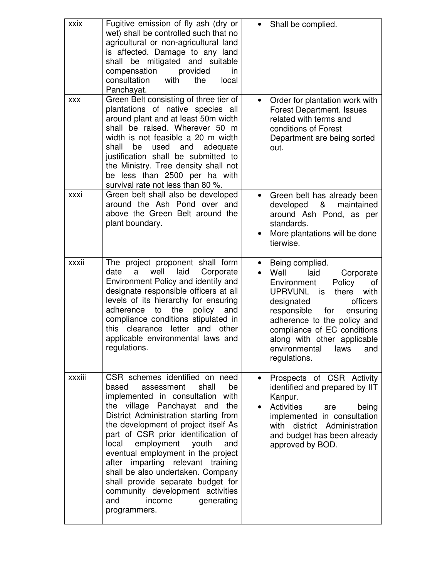| xxix   | Fugitive emission of fly ash (dry or<br>wet) shall be controlled such that no<br>agricultural or non-agricultural land<br>is affected. Damage to any land<br>be mitigated and suitable<br>shall<br>compensation<br>provided<br>in<br>consultation<br>with<br>the<br>local<br>Panchayat.                                                                                                                                                                                                                                                                | Shall be complied.                                                                                                                                                                                                                                                                                               |
|--------|--------------------------------------------------------------------------------------------------------------------------------------------------------------------------------------------------------------------------------------------------------------------------------------------------------------------------------------------------------------------------------------------------------------------------------------------------------------------------------------------------------------------------------------------------------|------------------------------------------------------------------------------------------------------------------------------------------------------------------------------------------------------------------------------------------------------------------------------------------------------------------|
| XXX    | Green Belt consisting of three tier of<br>plantations of native species all<br>around plant and at least 50m width<br>shall be raised. Wherever 50 m<br>width is not feasible a 20 m width<br>shall<br>be<br>used<br>and<br>adequate<br>justification shall be submitted to<br>the Ministry. Tree density shall not<br>be less than 2500 per ha with<br>survival rate not less than 80 %.                                                                                                                                                              | Order for plantation work with<br>Forest Department. Issues<br>related with terms and<br>conditions of Forest<br>Department are being sorted<br>out.                                                                                                                                                             |
| xxxi   | Green belt shall also be developed<br>around the Ash Pond over and<br>above the Green Belt around the<br>plant boundary.                                                                                                                                                                                                                                                                                                                                                                                                                               | Green belt has already been<br>$\bullet$<br>developed<br>&<br>maintained<br>around Ash Pond, as per<br>standards.<br>More plantations will be done<br>tierwise.                                                                                                                                                  |
| xxxii  | The project proponent shall form<br>laid<br>date<br>well<br>Corporate<br>a<br>Environment Policy and identify and<br>designate responsible officers at all<br>levels of its hierarchy for ensuring<br>to the<br>policy and<br>adherence<br>compliance conditions stipulated in<br>this clearance letter and other<br>applicable environmental laws and<br>regulations.                                                                                                                                                                                 | Being complied.<br>Well<br>laid<br>Corporate<br>Policy<br>Environment<br>οf<br>UPRVUNL is<br>there<br>with<br>designated<br>officers<br>responsible<br>for ensuring<br>adherence to the policy and<br>compliance of EC conditions<br>along with other applicable<br>environmental<br>laws<br>and<br>regulations. |
| xxxiii | CSR schemes identified on need<br>based<br>assessment<br>shall<br>be<br>implemented in consultation with<br>the village Panchayat and<br>the<br>District Administration starting from<br>the development of project itself As<br>part of CSR prior identification of<br>employment<br>local<br>youth<br>and<br>eventual employment in the project<br>imparting relevant training<br>after<br>shall be also undertaken. Company<br>shall provide separate budget for<br>community development activities<br>generating<br>and<br>income<br>programmers. | Prospects of CSR Activity<br>identified and prepared by IIT<br>Kanpur.<br><b>Activities</b><br>being<br>are<br>implemented in consultation<br>district Administration<br>with<br>and budget has been already<br>approved by BOD.                                                                                 |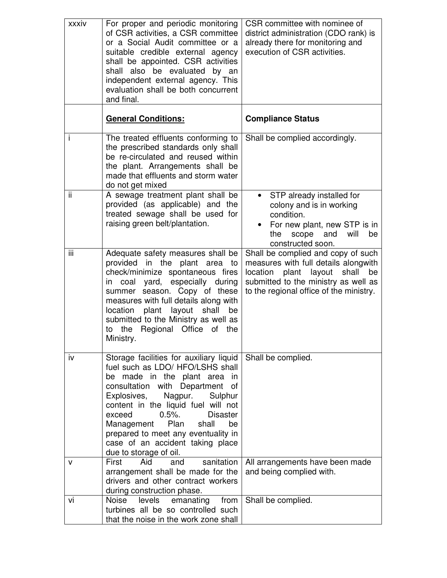| xxxiv | For proper and periodic monitoring<br>of CSR activities, a CSR committee<br>or a Social Audit committee or a<br>suitable credible external agency<br>shall be appointed. CSR activities<br>shall also be evaluated by an<br>independent external agency. This<br>evaluation shall be both concurrent<br>and final.                                                                                            | CSR committee with nominee of<br>district administration (CDO rank) is<br>already there for monitoring and<br>execution of CSR activities.                                                                  |
|-------|---------------------------------------------------------------------------------------------------------------------------------------------------------------------------------------------------------------------------------------------------------------------------------------------------------------------------------------------------------------------------------------------------------------|-------------------------------------------------------------------------------------------------------------------------------------------------------------------------------------------------------------|
|       | <b>General Conditions:</b>                                                                                                                                                                                                                                                                                                                                                                                    | <b>Compliance Status</b>                                                                                                                                                                                    |
| Ť     | The treated effluents conforming to<br>the prescribed standards only shall<br>be re-circulated and reused within<br>the plant. Arrangements shall be<br>made that effluents and storm water<br>do not get mixed                                                                                                                                                                                               | Shall be complied accordingly.                                                                                                                                                                              |
| ii.   | A sewage treatment plant shall be<br>provided (as applicable) and the<br>treated sewage shall be used for<br>raising green belt/plantation.                                                                                                                                                                                                                                                                   | • STP already installed for<br>colony and is in working<br>condition.<br>For new plant, new STP is in<br>and<br>the<br>scope<br>will<br>be<br>constructed soon.                                             |
| iii   | Adequate safety measures shall be<br>provided in the plant area to<br>check/minimize spontaneous fires<br>yard, especially during<br>in coal<br>summer season. Copy of these<br>measures with full details along with<br>location<br>plant layout shall<br>be<br>submitted to the Ministry as well as<br>to the Regional Office of the<br>Ministry.                                                           | Shall be complied and copy of such<br>measures with full details alongwith<br>location<br>plant<br>layout<br>shall<br>be<br>submitted to the ministry as well as<br>to the regional office of the ministry. |
| iv    | Storage facilities for auxiliary liquid<br>fuel such as LDO/ HFO/LSHS shall<br>be made in the plant area in<br>consultation with Department of<br>Nagpur.<br>Explosives,<br>Sulphur<br>content in the liquid fuel will not<br>$0.5%$ .<br><b>Disaster</b><br>exceed<br>Plan<br>shall<br>Management<br>be<br>prepared to meet any eventuality in<br>case of an accident taking place<br>due to storage of oil. | Shall be complied.                                                                                                                                                                                          |
| v     | sanitation<br>First<br>Aid<br>and<br>arrangement shall be made for the<br>drivers and other contract workers<br>during construction phase.                                                                                                                                                                                                                                                                    | All arrangements have been made<br>and being complied with.                                                                                                                                                 |
| vi    | Noise<br>levels<br>emanating<br>from<br>turbines all be so controlled such<br>that the noise in the work zone shall                                                                                                                                                                                                                                                                                           | Shall be complied.                                                                                                                                                                                          |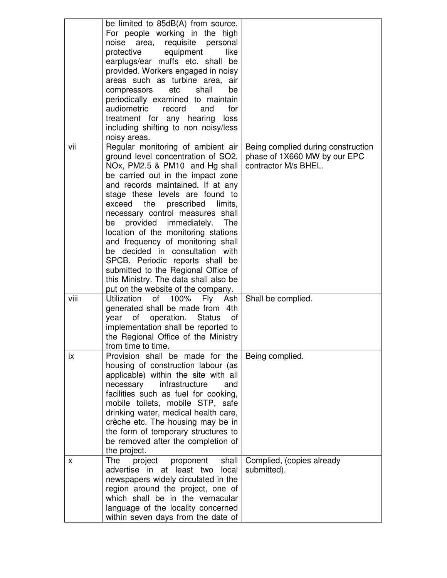| vii       | be limited to 85dB(A) from source.<br>For people working in the high<br>noise<br>area, requisite personal<br>protective<br>equipment<br>like<br>earplugs/ear muffs etc. shall be<br>provided. Workers engaged in noisy<br>areas such as turbine area,<br>air<br>compressors<br>etc<br>shall<br>be<br>periodically examined to maintain<br>audiometric<br>record<br>and<br>for<br>treatment for any hearing<br>loss<br>including shifting to non noisy/less<br>noisy areas.<br>Regular monitoring of ambient air<br>ground level concentration of SO2,<br>NOx, PM2.5 & PM10 and Hg shall<br>be carried out in the impact zone<br>and records maintained. If at any<br>stage these levels are found to<br>the<br>prescribed<br>exceed<br>limits,<br>necessary control measures shall<br>be provided immediately.<br>The<br>location of the monitoring stations<br>and frequency of monitoring shall<br>be decided in consultation with<br>SPCB. Periodic reports shall be<br>submitted to the Regional Office of<br>this Ministry. The data shall also be | Being complied during construction<br>phase of 1X660 MW by our EPC<br>contractor M/s BHEL. |
|-----------|---------------------------------------------------------------------------------------------------------------------------------------------------------------------------------------------------------------------------------------------------------------------------------------------------------------------------------------------------------------------------------------------------------------------------------------------------------------------------------------------------------------------------------------------------------------------------------------------------------------------------------------------------------------------------------------------------------------------------------------------------------------------------------------------------------------------------------------------------------------------------------------------------------------------------------------------------------------------------------------------------------------------------------------------------------|--------------------------------------------------------------------------------------------|
| viii      | put on the website of the company.<br>Utilization<br>100%<br>of<br>Fly Ash<br>generated shall be made from 4th<br>operation.<br>year<br><b>Status</b><br>of<br>οf<br>implementation shall be reported to<br>the Regional Office of the Ministry<br>from time to time.                                                                                                                                                                                                                                                                                                                                                                                                                                                                                                                                                                                                                                                                                                                                                                                   | Shall be complied.                                                                         |
| <b>ix</b> | Provision shall be made for the<br>housing of construction labour (as<br>applicable) within the site with all<br>necessary<br>infrastructure<br>and<br>facilities such as fuel for cooking,<br>mobile toilets, mobile STP, safe<br>drinking water, medical health care,<br>crèche etc. The housing may be in<br>the form of temporary structures to<br>be removed after the completion of<br>the project.                                                                                                                                                                                                                                                                                                                                                                                                                                                                                                                                                                                                                                               | Being complied.                                                                            |
| X         | proponent<br>shall<br>The<br>project<br>advertise in at least two<br>local<br>newspapers widely circulated in the<br>region around the project, one of<br>which shall be in the vernacular<br>language of the locality concerned<br>within seven days from the date of                                                                                                                                                                                                                                                                                                                                                                                                                                                                                                                                                                                                                                                                                                                                                                                  | Complied, (copies already<br>submitted).                                                   |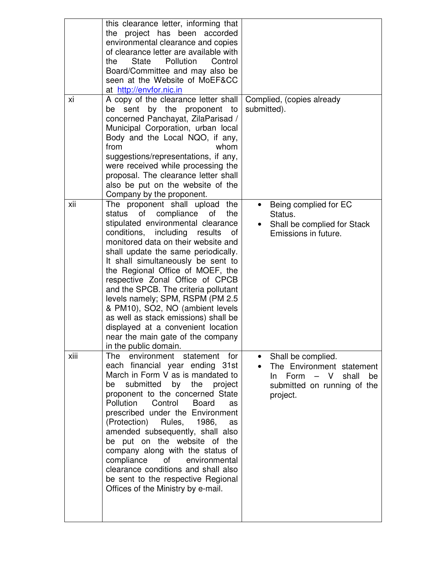|      | this clearance letter, informing that<br>the project has been accorded<br>environmental clearance and copies<br>of clearance letter are available with<br>the<br>State<br><b>Pollution</b><br>Control<br>Board/Committee and may also be<br>seen at the Website of MoEF&CC<br>at http://envfor.nic.in                                                                                                                                                                                                                                                                                                            |                                                                                                                                     |
|------|------------------------------------------------------------------------------------------------------------------------------------------------------------------------------------------------------------------------------------------------------------------------------------------------------------------------------------------------------------------------------------------------------------------------------------------------------------------------------------------------------------------------------------------------------------------------------------------------------------------|-------------------------------------------------------------------------------------------------------------------------------------|
| xi   | A copy of the clearance letter shall<br>sent<br>by the<br>proponent to<br>be<br>concerned Panchayat, ZilaParisad /<br>Municipal Corporation, urban local<br>Body and the Local NQO, if any,<br>from<br>whom<br>suggestions/representations, if any,<br>were received while processing the<br>proposal. The clearance letter shall<br>also be put on the website of the<br>Company by the proponent.                                                                                                                                                                                                              | Complied, (copies already<br>submitted).                                                                                            |
| xii  | The proponent shall upload<br>the<br>compliance<br>status<br>of<br>the<br>of<br>stipulated environmental clearance<br>conditions, including results<br>οf<br>monitored data on their website and<br>shall update the same periodically.<br>It shall simultaneously be sent to<br>the Regional Office of MOEF, the<br>respective Zonal Office of CPCB<br>and the SPCB. The criteria pollutant<br>levels namely; SPM, RSPM (PM 2.5<br>& PM10), SO2, NO (ambient levels<br>as well as stack emissions) shall be<br>displayed at a convenient location<br>near the main gate of the company<br>in the public domain. | Being complied for EC<br>Status.<br>Shall be complied for Stack<br>Emissions in future.                                             |
| xiii | environment statement<br>for<br>The<br>each financial year ending 31st<br>March in Form V as is mandated to<br>submitted<br>by<br>the<br>project<br>be<br>proponent to the concerned State<br>Control Board<br>Pollution<br>as<br>prescribed under the Environment<br>(Protection) Rules, 1986,<br>as<br>amended subsequently, shall also<br>be put on the website of the<br>company along with the status of<br>compliance<br>of environmental<br>clearance conditions and shall also<br>be sent to the respective Regional<br>Offices of the Ministry by e-mail.                                               | Shall be complied.<br>The Environment statement<br>Form<br>$-$ V<br>shall<br>be<br>$\ln$<br>submitted on running of the<br>project. |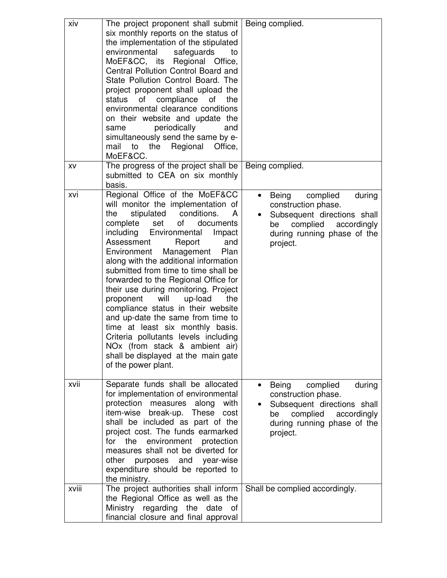| xiv   | The project proponent shall submit<br>six monthly reports on the status of<br>the implementation of the stipulated<br>environmental<br>safeguards<br>to<br>MoEF&CC, its Regional Office,<br>Central Pollution Control Board and<br>State Pollution Control Board. The<br>project proponent shall upload the<br>compliance<br>of<br>status<br>Οf<br>the<br>environmental clearance conditions<br>on their website and update the<br>periodically<br>same<br>and<br>simultaneously send the same by e-<br>mail<br>the Regional<br>Office,<br>to<br>MoEF&CC.                                                                                                                                                                | Being complied.                                                                                                                                                            |
|-------|--------------------------------------------------------------------------------------------------------------------------------------------------------------------------------------------------------------------------------------------------------------------------------------------------------------------------------------------------------------------------------------------------------------------------------------------------------------------------------------------------------------------------------------------------------------------------------------------------------------------------------------------------------------------------------------------------------------------------|----------------------------------------------------------------------------------------------------------------------------------------------------------------------------|
| XV    | The progress of the project shall be<br>submitted to CEA on six monthly<br>basis.                                                                                                                                                                                                                                                                                                                                                                                                                                                                                                                                                                                                                                        | Being complied.                                                                                                                                                            |
| xvi   | Regional Office of the MoEF&CC<br>will monitor the implementation of<br>stipulated<br>conditions.<br>the<br>A<br>complete<br>set<br>of<br>documents<br>including Environmental Impact<br>Assessment<br>Report<br>and<br>Management<br>Plan<br>Environment<br>along with the additional information<br>submitted from time to time shall be<br>forwarded to the Regional Office for<br>their use during monitoring. Project<br>will<br>proponent<br>up-load<br>the<br>compliance status in their website<br>and up-date the same from time to<br>time at least six monthly basis.<br>Criteria pollutants levels including<br>NOx (from stack & ambient air)<br>shall be displayed at the main gate<br>of the power plant. | Being<br>during<br>complied<br>$\bullet$<br>construction phase.<br>Subsequent directions shall<br>be<br>complied<br>accordingly<br>during running phase of the<br>project. |
| xvii  | Separate funds shall be allocated<br>for implementation of environmental<br>protection measures along with<br>item-wise break-up. These<br>cost<br>shall be included as part of the<br>project cost. The funds earmarked<br>environment<br>for the<br>protection<br>measures shall not be diverted for<br>other<br>purposes and year-wise<br>expenditure should be reported to<br>the ministry.                                                                                                                                                                                                                                                                                                                          | Being<br>complied<br>during<br>construction phase.<br>Subsequent directions shall<br>be<br>complied<br>accordingly<br>during running phase of the<br>project.              |
| xviii | The project authorities shall inform<br>the Regional Office as well as the<br>Ministry regarding the<br>date of<br>financial closure and final approval                                                                                                                                                                                                                                                                                                                                                                                                                                                                                                                                                                  | Shall be complied accordingly.                                                                                                                                             |